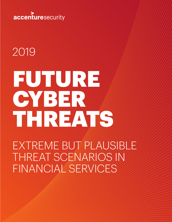

# 2019

# FUTURE **CYBER** THREATS

EXTREME BUT PLAUSIBLE THREAT SCENARIOS IN FINANCIAL SERVICES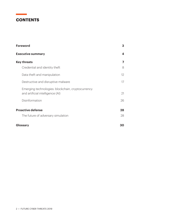# **CONTENTS**

 $\label{eq:2.1} \frac{1}{\sqrt{2}}\left(\frac{1}{\sqrt{2}}\right)^{2} \left(\frac{1}{\sqrt{2}}\right)^{2} \left(\frac{1}{\sqrt{2}}\right)^{2} \left(\frac{1}{\sqrt{2}}\right)^{2} \left(\frac{1}{\sqrt{2}}\right)^{2} \left(\frac{1}{\sqrt{2}}\right)^{2} \left(\frac{1}{\sqrt{2}}\right)^{2} \left(\frac{1}{\sqrt{2}}\right)^{2} \left(\frac{1}{\sqrt{2}}\right)^{2} \left(\frac{1}{\sqrt{2}}\right)^{2} \left(\frac{1}{\sqrt{2}}\right)^{2} \left(\$ 

| <b>Foreword</b>                                                                       | 3                 |
|---------------------------------------------------------------------------------------|-------------------|
| <b>Executive summary</b>                                                              | 4                 |
| <b>Key threats</b>                                                                    | 7                 |
| Credential and identity theft                                                         | 8                 |
| Data theft and manipulation                                                           | $12 \overline{ }$ |
| Destructive and disruptive malware                                                    | 17                |
| Emerging technologies: blockchain, cryptocurrency<br>and artificial intelligence (AI) | 21                |
| Disinformation                                                                        | 26                |
| <b>Proactive defense</b>                                                              | 28                |
| The future of adversary simulation                                                    | 28                |
| Glossary                                                                              | 30                |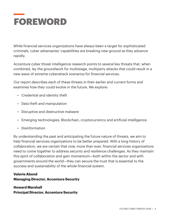

While financial services organizations have always been a target for sophisticated criminals, cyber adversaries' capabilities are breaking new ground as they advance rapidly.

Accenture cyber threat intelligence research points to several key threats that, when combined, lay the groundwork for multistage, multiparty attacks that could result in a new wave of extreme cyberattack scenarios for financial services.

Our report describes each of these threats in their earlier and current forms and examines how they could evolve in the future. We explore:

- Credential and identity theft
- Data theft and manipulation
- Disruptive and destructive malware
- Emerging technologies: Blockchain, cryptocurrency and artificial intelligence
- Disinformation

By understanding the past and anticipating the future nature of threats, we aim to help financial services organizations to be better prepared. With a long history of collaboration, we are certain that now, more than ever, financial services organizations need to come together to address security and resilience challenges. As they maintain this spirit of collaboration and gain momentum—both within the sector and with governments around the world—they can secure the trust that is essential to the success and sustainability of the whole financial system.

#### **Valerie Abend Managing Director, Accenture Security**

#### **Howard Marshall Principal Director, Accenture Security**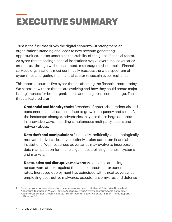# EXECUTIVE SUMMARY

Trust is the fuel that drives the digital economy—it strengthens an organization's standing and leads to new revenue-generating opportunities.<sup>1</sup> It also underpins the stability of the global financial sector. As cyber threats facing financial institutions evolve over time, adversaries erode trust through well-orchestrated, multistaged cyberattacks. Financial services organizations must continually reassess the wide spectrum of cyber threats targeting the financial sector to sustain cyber resilience.

This report discusses five cyber threats affecting the financial sector today. We assess how these threats are evolving and how they could create major lasting impacts for both organizations and the global sector at large. The threats featured are:

**Credential and identity theft:** Breaches of enterprise credentials and consumer financial data continue to grow in frequency and scale. As the landscape changes, adversaries may use these large data sets in innovative ways, including simultaneous multiparty access and network abuse.

**Data theft and manipulation:** Financially, politically, and ideologically motivated adversaries have routinely stolen data from financial institutions. Well-resourced adversaries may evolve to incorporate data manipulation for financial gain, destabilizing financial systems and markets.

**Destructive and disruptive malware:** Adversaries are using ransomware attacks against the financial sector at exponential rates. Increased deployment has coincided with threat adversaries employing destructive malwares, pseudo-ransomwares and defense

Redefine your company based on the company you keep: Intelligent Enterprise Unleashed, Accenture Technology Vision. (2018). Accenture. https://www.accenture.com/\_acnmedia/ Accenture/next-gen-7/tech-vision-2018/pdf/Accenture-TechVision-2018-Tech-Trends-Report. pdf#zoom=50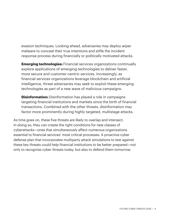evasion techniques. Looking ahead, adversaries may deploy wiper malware to conceal their true intentions and stifle the incident response process during financially or politically motivated attacks.

**Emerging technologies:** Financial services organizations continually explore applications of emerging technologies to deliver faster, more secure and customer-centric services. Increasingly, as financial services organizations leverage blockchain and artificial intelligence, threat adversaries may seek to exploit these emerging technologies as part of a new wave of malicious campaigns.

**Disinformation:** Disinformation has played a role in campaigns targeting financial institutions and markets since the birth of financial transactions. Combined with the other threats, disinformation may factor more prominently during highly targeted, multistage attacks.

As time goes on, these five threats are likely to overlap and intersect. In doing so, they can create the right conditions for new classes of cyberattacks—ones that simultaneously affect numerous organizations essential to financial services' most critical processes. A proactive cyber defense plan that incorporates multiparty attack simulations to test against these key threats could help financial institutions to be better prepared—not only to recognize cyber threats today, but also to defend them tomorrow.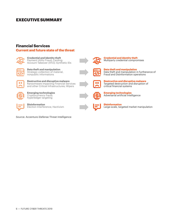### **EXECUTIVE SUMMARY**

#### **Financial Services**

#### **Current and future state of the threat**



**Credential and identity theft** Payment Utility Fraud; Carding; Account Takeover (ATO); Synthetic IDs



**Data theft and manipulation** Strategic collection of material, nonpublic informations



**Destructive and disruptive malware** Ransomware impacting Financial Services and other Critical Infrastructures; Wipers



**Emerging technologies** Cryptocurrency fraud; hyperledger targeting



**Disinformation** Election Interference; Hactivism

Source: Accenture iDefense Threat Intelligence



**Credential and identity theft** Multiparty credential compromises



**Data theft and manipulation** Data theft and manipulation in furtherance of Fraud and Disinformation operations



**Destructive and disruptive malware** Targeted destruction and disruption of critical financial systems



**Emerging technologies** Adversarial artificial intelligence



**Disinformation** Large-scale, targeted market manipulation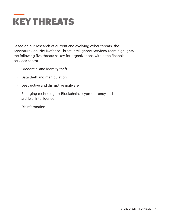

Based on our research of current and evolving cyber threats, the Accenture Security iDefense Threat Intelligence Services Team highlights the following five threats as key for organizations within the financial services sector:

- Credential and identity theft
- Data theft and manipulation
- Destructive and disruptive malware
- Emerging technologies: Blockchain, cryptocurrency and artificial intelligence
- Disinformation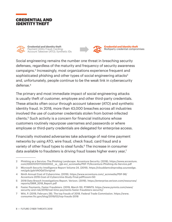



**Credential and identity theft** Payment Utility Fraud; Carding; Account Takeover (ATO); Synthetic IDs



**Credential and identity theft** Multiparty credential compromises

Social engineering remains the number one threat in breaching security defenses, regardless of the maturity and frequency of security awareness campaigns.<sup>2</sup> Increasingly, most organizations experience frequent and sophisticated phishing and other types of social engineering attacks<sup>3</sup> and, unfortunately, people continue to be the weak link in cybersecurity defense.<sup>4</sup>

The primary and most immediate impact of social engineering attacks is usually theft of customer, employee and other third-party credentials. These attacks often occur through account takeover (ATO) and synthetic identity fraud. In 2018, more than 43,000 breaches across all industries involved the use of customer credentials stolen from botnet-infected clients.5 Such activity is a concern for financial institutions whose customers routinely repurpose usernames and passwords or where employee or third-party credentials are delegated for enterprise access.

Financially motivated adversaries take advantage of real-time payment networks by using ATO, wire fraud, check fraud, card fraud and a variety of other fraud types to steal funds.<sup>6</sup> The increase in consumer data available to fraudsters is driving fraud losses higher every year,<sup>7</sup>

Phishing as a Service: The Phishing Landscape. Accenture Security. (2018). https://www.accenture. com/t00010101T000000Z\_\_w\_\_/gb-en/\_acnmedia/PDF-71/Accenture-Phishing-As-Service.pdf

<sup>3</sup> Microsoft Security Intelligence Report Volume 24. (2019). https://clouddamcdnprodep.azureedge. net/gdc/gdcVAOQd7/original

<sup>4</sup> Ninth Annual Cost of Cybercrime. (2019). https://www.accenture.com/\_acnmedia/PDF-96/ Accenture-2019-Cost-of-Cybercrime-Study-Final.pdf#zoom=50

<sup>5 2018</sup> Data Breach Investigations Report. Verizon. (2019). https://enterprise.verizon.com/resources/ reports/DBIR\_2018\_Report.pdf

<sup>6</sup> Faster Payments, Faster Fraudsters. (2019, March 19). PYMNTS. https://www.pymnts.com/news/ security-and-risk/2019/real-time-payments-faster-fraudsters-security/

<sup>7</sup> Witt, P. (2019, February 28). The top frauds of 2018. Federal Trade Commission. https://www. consumer.ftc.gov/blog/2019/02/top-frauds-2018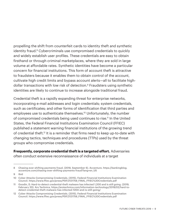propelling the shift from counterfeit cards to identity theft and synthetic identity fraud.<sup>8</sup> Cybercriminals use compromised credentials to quickly and widely establish user profiles. These credentials are easy to obtain firsthand or through criminal marketplaces, where they are sold in large volume at affordable rates. Synthetic identities have become a particular concern for financial institutions. This form of account theft is attractive to fraudsters because it enables them to obtain control of the account, cultivate high credit limits and bypass account alerts—all to facilitate highdollar transactions with low risk of detection.<sup>9</sup> Fraudsters using synthetic identities are likely to continue to increase alongside traditional fraud.

Credential theft is a rapidly expanding threat for enterprise networks, incorporating e-mail addresses and login credentials; system credentials, such as certificates; and other forms of identification that third parties and employees use to authenticate themselves.<sup>10</sup> Unfortunately, the number of compromised credentials being used continues to rise.<sup>11</sup> In the United States, the Federal Financial Institutions Examination Council (FFIEC) published a statement warning financial institutions of the growing trend of credential theft.<sup>12</sup> It is a reminder that firms need to keep up-to-date with changing tactics, techniques and procedures (TTPs) used by the threat groups who compromise credentials.

**Frequently, corporate credential theft is a targeted effort.** Adversaries

often conduct extensive reconnaissance of individuals at a target

<sup>8</sup> Chasing ever-shifting payments fraud. (2018, September 6). Accenture. https://bankingblog. accenture.com/chasing-ever-shifting-payments-fraud?lang=en\_US

<sup>9</sup> Ibid

<sup>10</sup> Cyber Attacks Compromising Credentials. (2015). Federal Financial Institutions Examination Council. https://www.ffiec.gov/press/PDF/2121758\_FINAL\_FFIEC%20Credentials.pdf

<sup>11</sup> Goodin, D. Hard-to-detect credential-theft malware has infected 1,200 and is still going. (2019, February 20). Ars Technica. https://arstechnica.com/information-technology/2019/02/hard-todetect-credential-theft-malware-has-infected-1200-and-is-still-going/

<sup>12</sup> Cyber Attacks Compromising Credentials. (2015). Federal Financial Institutions Examination Council. https://www.ffiec.gov/press/PDF/2121758\_FINAL\_FFIEC%20Credentials.pdf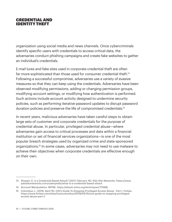#### **CREDENTIAL AND** identitytheft

organization using social media and news channels. Once cybercriminals identify specific users with credentials to access critical data, the adversaries conduct phishing campaigns and create fake websites to gather an individual's credentials.

E-mail lures and fake sites used in corporate credential theft are often far more sophisticated than those used for consumer credential theft.<sup>13</sup> Following a successful compromise, adversaries use a variety of evasive measures so that they can keep using the credentials. Adversaries have been observed modifying permissions, adding or changing permission groups, modifying account settings, or modifying how authentication is performed. Such actions include account activity designed to undermine security policies, such as performing iterative password updates to disrupt password duration policies and preserve the life of compromised credentials.<sup>14</sup>

In recent years, malicious adversaries have taken careful steps to obtain large sets of customer and corporate credentials for the purpose of credential abuse. In particular, privileged credential abuse—where adversaries gain access to critical processes and data within a financial institution or set of financial services organizations—is one of the most popular breach strategies used by organized crime and state-sponsored organizations.15 In some cases, adversaries may not need to use malware to achieve their objectives when corporate credentials are effective enough on their own.

<sup>13</sup> Shopen, K. is a Credential-Based Attack? (2017, February 16). Palo Alto Networks. https://www. paloaltonetworks.com/cyberpedia/what-is-a-credential-based-attack

<sup>14</sup> Account Manipulation. MITRE. https://attack.mitre.org/techniques/T1098/

<sup>15</sup> Columbus, L. (2019, April 15). CIO's Guide To Stopping Privileged Access Abuse - Part I. *Forbes*. https://www.forbes.com/sites/louiscolumbus/2019/04/15/cios-guide-to-stopping-privilegedaccess-abuse-part-i/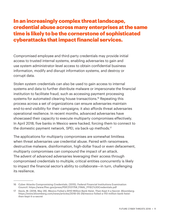# In an increasingly complex threat landscape, credential abuse across many enterprises at the same time is likely to be the cornerstone of sophisticated cyberattacks that impact financial services.

Compromised employee and third-party credentials may provide initial access to trusted internal systems, enabling adversaries to gain and use system administrator-level access to obtain confidential business information, modify and disrupt information systems, and destroy or corrupt data.

Stolen system credentials can also be used to gain access to internal systems and data to further distribute malware or impersonate the financial institution to facilitate fraud, such as accessing payment processing systems for automated clearing house transactions.<sup>16</sup> Repeating this process across a set of organizations can ensure adversaries maintain end-to-end visibility for their campaigns; it also affords threat adversaries operational resilience. In recent months, advanced adversaries have showcased their capacity to execute multiparty compromises effectively. In April 2018, five banks in Mexico were hacked, forcing them to connect to the domestic payment network, SPEI, via back-up methods.<sup>17</sup>

The applications for multiparty compromises are somewhat limitless when threat adversaries use credential abuse. Paired with ransomware, destructive malware, disinformation, high-dollar fraud or even defacement, multiparty compromises can compound the impact of an attack. The advent of advanced adversaries leveraging their access through compromised credentials to multiple, critical entities concurrently is likely to impact the financial sector's ability to collaborate—in turn, challenging its resilience.

<sup>16</sup> Cyber Attacks Compromising Credentials. (2015). Federal Financial Institutions Examination Council. https://www.ffiec.gov/press/PDF/2121758\_FINAL\_FFIEC%20Credentials.pdf

<sup>17</sup> Davis, M. (2018, May 29). Mexico Foiled a \$110 Million Bank Heist, Then Kept It a Secret. *Bloomberg*. https://www.bloomberg.com/news/articles/2018-05-29/mexico-foiled-a-110-million-bank-heistthen-kept-it-a-secret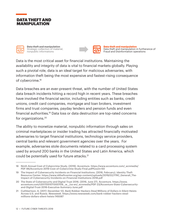



**Data theft and manipulation** Strategic collection of material, nonpublic informations



**Data theft and manipulation** Data theft and manipulation in furtherance of Fraud and Disinformation operations

Data is the most critical asset for financial institutions. Maintaining the availability and integrity of data is vital to financial markets globally. Playing such a pivotal role, data is an ideal target for malicious adversaries, with information theft being the most expensive and fastest-rising consequence of cybercrime.<sup>18</sup>

Data breaches are an ever-present threat, with the number of United States data breach incidents hitting a record high in recent years. These breaches have involved the financial sector, including entities such as banks, credit unions, credit card companies, mortgage and loan brokers, investment firms and trust companies, payday lenders and pension funds and even financial authorities.19 Data loss or data destruction are top-rated concerns for organizations.<sup>20</sup>

The ability to monetize material, nonpublic information through sales on criminal marketplaces or insider trading has attracted financially motivated adversaries to target financial institutions, technology service providers, central banks and relevant government agencies over the years. For example, adversaries stole documents related to a card processing system used by around 200 banks in the United States and Latin America, which could be potentially used for future attacks.<sup>21</sup>

<sup>18</sup> Ninth Annual Cost of Cybercrime Study. (2019). Accenture. https://www.accenture.com/\_acnmedia/ PDF-96/Accenture-2019-Cost-of-Cybercrime-Study-Final.pdf#zoom=50

<sup>19</sup> The Impact of Cybersecurity Incidents on Financial Institutions. (2018, February). Identity Theft Resource Center. https://www.idtheftcenter.org/wp-content/uploads/2019/02/ITRC\_Generali\_The-Impact-of-Cybersecurity-Incidents-on-Financial-Institutions-2018.pdf

<sup>20</sup> The State of Cybersecurity and Digital Trust 2016. (2016, June 27). Accenture. https://www. accenture.com/t20170510T000709\_\_w\_\_/us-en/\_acnmedia/PDF-23/Accenture-State-Cybersecurityand-Digital-Trust-2016-Executive-Summary-June.pdf

<sup>21</sup> Cuthbertson, A. (2017, December 12). Bank Robber Hackers Steal Millions of Dollars in Silent Heists Across U.S. and Russia. *Newsweek*. https://www.newsweek.com/bank-robber-hackers-stealmillions-dollars-silent-heists-745087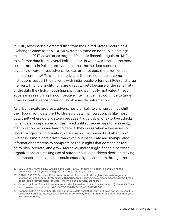In 2016, adversaries extracted files from the United States Securities & Exchange Commission's EDGAR system to trade on nonpublic earnings results.22 In 2017, adversaries targeted Poland's financial regulator, KNF, to exfiltrate data from several Polish banks. In what was labelled the most serious attack in Polish history at the time, the incident speaks to the diversity of ways threat adversaries can attempt data theft from critical financial entities.23 This kind of activity is likely to continue as some institutions support their clients with initial public offerings (IPOs) and large mergers. Financial institutions are direct targets because of the sensitivity of the data they hold.<sup>24</sup> Both financially and politically motivated threat adversaries searching for competitive intelligence may continue to target firms as central repositories of valuable insider information.

As cyber threats progress, adversaries are likely to change as they shift their focus from data theft to strategic data manipulation. Unlike most data theft (where data is stolen because it is valuable) or extortive attacks (when data is imprisoned or destroyed until someone pays to release it), manipulation hacks are hard to detect: they occur when adversaries (or bots) change vital information, often below the threshold of attention.<sup>25</sup> Business is more data driven than ever, but inaccurate and manipulated information threatens to compromise the insights that companies rely on to plan, operate, and grow. Moreover, increasingly, financial services organizations are making use of autonomous, data-driven decision making. Left unchecked, adversaries could cause significant harm through the

<sup>22</sup> SEC Brings Charges in EDGAR Hacking Case. (2019, January 15). Securities and Exchange Commission. https://www.sec.gov/news/press-release/2019-1

<sup>23</sup> O'Neill, P. (2017, February 2). Hackers break into Polish banks through government regulator charged with bank security standards. CyberScoop. https://www.cyberscoop.com/hackers-breakpolish-banks-government-regulator-charged-bank-security-standards/

<sup>24</sup> Cyber attacks on financial services sector rise fivefold in 2018. (2019, February 24). *Financial Times*. https://www.ft.com/content/6a2d9d76-3692-11e9-bd3a-8b2a211d90d5

<sup>25</sup> Cooper, B. (2017, November 20). The dangerous data hack that you won't even notice. University of California, Berkeley. https://news.berkeley.edu/berkeley\_blog/the-dangerous-data-hack-that-youwont-even-notice/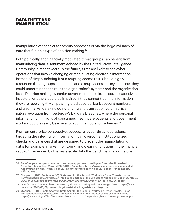#### **DATA THEFT AND** manipulation

manipulation of these autonomous processes or via the large volumes of data that fuel this type of decision making.<sup>26</sup>

Both politically and financially motivated threat groups can benefit from manipulating data, a sentiment echoed by the United States Intelligence Community in recent years. In the future, firms are likely to see cyber operations that involve changing or manipulating electronic information, instead of simply deleting it or disrupting access to it. Should highlyresourced threat groups manipulate and disrupt access to key data sets, they could undermine the trust in the organization's systems and the organization itself. Decision making by senior government officials, corporate executives, investors, or others could be impaired if they cannot trust the information they are receiving.<sup>27</sup> Manipulating credit scores, bank account numbers, and also market data (including pricing and transaction volumes) is a natural evolution from yesterday's big data breaches, where the personal information on millions of consumers, healthcare patients and government workers could already be in use for such manipulation schemes.<sup>28</sup>

From an enterprise perspective, successful cyber threat operations, targeting the integrity of information, can overcome institutionalized checks and balances that are designed to prevent the manipulation of data; for example, market monitoring and clearing functions in the financial sector.<sup>29</sup> Evidenced by the large-scale data theft and financial crime over

<sup>26</sup> Redefine your company based on the company you keep: Intelligent Enterprise Unleashed, Accenture Technology Vision 2018. (2018). Accenture. https://www.accenture.com/\_acnmedia/ Accenture/next-gen-7/tech-vision-2018/pdf/Accenture-TechVision-2018-Tech-Trends-Report. pdf#zoom=50

<sup>27</sup> Clapper, J. (2015, September 10). Statement for the Record, Worldwide Cyber Threats, House Permanent Select Committee on Intelligence. Office of the Director of National Intelligence. https:// www.dni.gov/files/documents/HPSCI%2010%20Sept%20Cyber%20Hearing%20SFR.pdf

<sup>28</sup> Overfelt, M. (2016, March 9). The next big threat in hacking — data sabotage. CNBC. https://www. cnbc.com/2016/03/09/the-next-big-threat-in-hacking--data-sabotage.html

<sup>29</sup> Clapper, J. (2015, September 10). Statement for the Record, Worldwide Cyber Threats, House Permanent Select Committee on Intelligence. Office of the Director of National Intelligence. https://www.dni.gov/files/documents/HPSCI%2010%20Sept%20Cyber%20Hearing%20SFR.pdf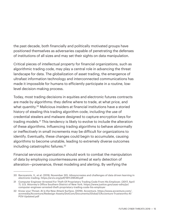the past decade, both financially and politically motivated groups have positioned themselves as adversaries capable of penetrating the defenses of institutions of all sizes and may set their sights on data manipulation.

Critical pieces of intellectual property for financial organizations, such as algorithmic trading code, may play a central role in advancing the threat landscape for data. The globalization of asset trading, the emergence of ultrafast information technology and interconnected communications has made it impossible for humans to efficiently participate in a routine, lowlevel decision-making process.

Today, most trading decisions in equities and electronic futures contracts are made by algorithms: they define where to trade, at what price, and what quantity.<sup>30</sup> Malicious insiders at financial institutions have a storied history of stealing this trading algorithm code, including the use of credential stealers and malware designed to capture encryption keys for trading models.31 This tendency is likely to evolve to include the alteration of these algorithms. Influencing trading algorithms to behave abnormally or ineffectively in small increments may be difficult for organizations to identify. Eventually, these changes could begin to accumulate, causing algorithms to become unstable, leading to extremely diverse outcomes including catastrophic failures.<sup>32</sup>

Financial services organizations should work to combat the manipulation of data by employing countermeasures aimed at early detection of alteration—provenance, threat modeling and alerting. By verifying the

<sup>30</sup> Bacoyannis, V., et al. (2018, November 30). Idiosyncrasies and challenges of data driven learning in electronic trading. https://arxiv.org/pdf/1811.09549.pdf

<sup>31</sup> Computer Engineer Arrested For Theft Of Proprietary Trading Code From His Employer. (2017, April 7). U.S. Attorney's Office Southern District of New York. https://www.justice.gov/usao-sdny/pr/ computer-engineer-arrested-theft-proprietary-trading-code-his-employer

<sup>32</sup> Know your Threat: AI is the New Attack Surface. (2019). Accenture. https://www.accenture.com/\_ acnmedia/Accenture/Redesign-Assets/DotCom/Documents/Global/1/Accenture-Trustworthy-AI-POV-Updated.pdf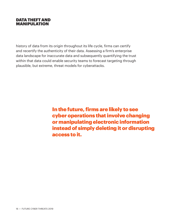#### **DATA THEFT AND** manipulation

history of data from its origin throughout its life cycle, firms can certify and recertify the authenticity of their data. Assessing a firm's enterprise data landscape for inaccurate data and subsequently quantifying the trust within that data could enable security teams to forecast targeting through plausible, but extreme, threat models for cyberattacks.

> In the future, firms are likely to see cyber operations that involve changing or manipulating electronic information instead of simply deleting it or disrupting access to it.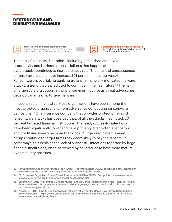### DESTRUCTIVE AND DISRUPTIVE MALWARE



**Destructive and disruptive malware** Ransomware impacting Financial Services and other Critical Infrastructures; Wipers



**Destructive and disruptive malware** Targeted destruction and disruption of critical financial systems

The cost of business disruption—including diminished employee productivity and business process failures that happen after a cyberattack—continues to rise at a steady rate. The financial consequences of ransomware alone have increased 21 percent in the last year.<sup>33</sup> Ransomware is overtaking banking trojans in financially motivated malware attacks, a trend that is predicted to continue in the near future.<sup>34</sup> The risk of large-scale disruption in financial services may rise as threat adversaries develop variants of extortive malware.

In recent years, financial services organizations have been among the most targeted organizations from adversaries conducting ransomware campaigns.35 One insurance company that provides protection against ransomware attacks has observed that, of all the attacks they noted, 20 percent targeted financial institutions. That said, successful infections have been significantly lower and have primarily affected smaller banks and credit unions—some more than once.36 Organized cybercriminal groups continue to target firms they deem likely to pay the ransom. In some ways, this explains the lack of successful infections reported by large financial institutions, often perceived by adversaries to have more mature cybersecurity postures.

<sup>33</sup> Ninth Annual Cost of Cybercrime Study. (2019). Accenture. https://www.accenture.com/\_acnmedia/ PDF-96/Accenture-2019-Cost-of-Cybercrime-Study-Final.pdf#zoom=50

<sup>34 2018</sup> Internet Organised Crime Threat Assessment (IOCTA). (2019). Europol. https://www.europol. europa.eu/internet-organised-crime-threat-assessment-2018

<sup>35</sup> Crosman, P. (2016, November 3). Ransomware: Should Banks Prepare to Pay or Be Ready to Refuse? *American Banker*. https://www.americanbanker.com/news/ransomware-should-banks-prepare-topay-or-be-ready-to-refuse

<sup>36</sup> Yurcan, B. (2018, June 15). Ransomware is taking a toll on banks. Here's how they're fighting back. *American Banker*. https://www.americanbanker.com/news/ransomware-is-taking-a-toll-on-banksheres-how-theyre-fighting-back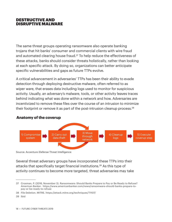#### DESTRUCTIVE AND DISRUPTIVE MALWARE

The same threat groups operating ransomware also operate banking trojans that hit banks' consumer and commercial clients with wire fraud and automated clearing house fraud.<sup>37</sup> To help reduce the effectiveness of these attacks, banks should consider threats holistically, rather than looking at each specific attack. By doing so, organizations can better anticipate specific vulnerabilities and gaps as future TTPs evolve.

A critical advancement in adversaries' TTPs has been their ability to evade detection through deploying destructive malware, often referred to as wiper ware, that erases data including logs used to monitor for suspicious activity. Usually, an adversary's malware, tools, or other activity leaves traces behind indicating what was done within a network and how. Adversaries are incentivized to remove these files over the course of an intrusion to minimize their footprint or remove it as part of the post-intrusion cleanup process.<sup>38</sup>



#### **Anatomy of the coverup**

Source: Accenture iDefense Threat Intelligence

Several threat adversary groups have incorporated these TTPs into their attacks that specifically target financial institutions.39 As this type of activity continues to become more targeted, threat adversaries may take

<sup>37</sup> Crosman, P. (2016, November 3). Ransomware: Should Banks Prepare to Pay or Be Ready to Refuse? *American Banker*. https://www.americanbanker.com/news/ransomware-should-banks-prepare-topay-or-be-ready-to-refuse

<sup>38</sup> File Deletion. MITRE. https://attack.mitre.org/techniques/T1107/

<sup>39</sup> Ibid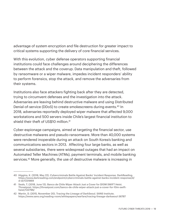advantage of system encryption and file destruction for greater impact to critical systems supporting the delivery of core financial services.

With this evolution, cyber defense operators supporting financial institutions could face challenges around deciphering the differences between the attack and the coverup. Data manipulation and theft, followed by ransomware or a wiper malware, impedes incident responders' ability to perform forensics, stop the attack, and remove the adversaries from their systems.

Institutions also face attackers fighting back after they are detected, trying to circumvent defenses and the investigation into the attack. Adversaries are leaving behind destructive malware and using Distributed Denial-of-service (DDoS) to create smokescreens during events.<sup>40</sup> In 2018, adversaries reportedly deployed wiper malware that affected 9,000 workstations and 500 servers inside Chile's largest financial institution to shield their theft of US\$10 million.<sup>41</sup>

Cyber-espionage campaigns, aimed at targeting the financial sector, use destructive malwares and pseudo-ransomware. More than 40,000 systems were rendered inoperable during an attack on South Korea's banking and communications sectors in 2013. Affecting four large banks, as well as several subsidiaries, there were widespread outages that had an impact on Automated Teller Machines (ATMs), payment terminals, and mobile banking services.<sup>42</sup> More generally, the use of destructive malware is increasing in

<sup>40</sup> Higgins, K. (2018, May 22). Cybercriminals Battle Against Banks' Incident Response. DarkReading. https://www.darkreading.com/endpoint/cybercriminals-battle-against-banks-incident-response/d/ d-id/1331869

<sup>41</sup> Seals, T. (2018, June 13). Banco de Chile Wiper Attack Just a Cover for \$10M SWIFT Heist. Threatpost. https://threatpost.com/banco-de-chile-wiper-attack-just-a-cover-for-10m-swiftheist/132796/

<sup>42</sup> Martin, D. (2015, November 20). Tracing the Lineage of DarkSeoul. SANS Institute. https://www.sans.org/reading-room/whitepapers/warfare/tracing-lineage-darkseoul-36787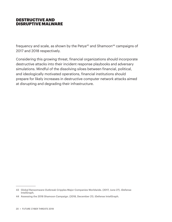#### DESTRUCTIVE AND DISRUPTIVE MALWARE

frequency and scale, as shown by the Petya $43$  and Shamoon $44$  campaigns of 2017 and 2018 respectively.

Considering this growing threat, financial organizations should incorporate destructive attacks into their incident response playbooks and adversary simulations. Mindful of the dissolving siloes between financial, political, and ideologically motivated operations, financial institutions should prepare for likely increases in destructive computer network attacks aimed at disrupting and degrading their infrastructure.

<sup>43</sup> Global Ransomware Outbreak Cripples Major Companies Worldwide. (2017, June 27). iDefense IntelGraph.

<sup>44</sup> Assessing the 2018 Shamoon Campaign. (2018, December 21). iDefense IntelGraph.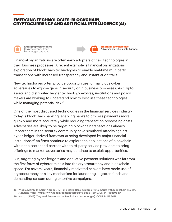#### EMERGING TECHNOLOGIES: BLOCKCHAIN, CRYPTOCURRENCY AND ARTIFICIAL INTELLIGENCE (AI)



**Emerging technologies** Cryptocurrency fraud; hyperledger targeting



Financial organizations are often early adopters of new technologies in their business processes. A recent example is financial organizations' exploration of blockchain technologies to enable real-time multiparty transactions with increased transparency and instant audit trails.

New technologies often provide opportunities for malicious cyber adversaries to expose gaps in security or in business processes. As cryptoassets and distributed ledger technology evolves, institutions and policy makers are working to understand how to best use these technologies while managing potential risk.<sup>45</sup>

One of the most discussed technologies in the financial services industry today is blockchain banking, enabling banks to process payments more quickly and more accurately while reducing transaction processing costs. Adversaries are likely to be targeting blockchain transactions already. Researchers in the security community have simulated attacks against hyper-ledger-derived frameworks being developed by major financial institutions.46 As firms continue to explore the applications of blockchain within the sector and partner with third-party service providers to bring offerings to market, adversaries may continue to exploit opportunities.

But, targeting hyper-ledgers and derivative payment solutions was far from the first foray of cybercriminals into the cryptocurrency and blockchain space. For several years, financially motivated hackers have made use of cryptocurrency as a key mechanism for laundering ill-gotten funds and demanding ransom during extortive campaigns.

<sup>45</sup> Wigglesworth, R. (2019, April 12). IMF and World Bank explore crypto merits with blockchain project. *Financial Times*. https://www.ft.com/content/1cfb6d46-5d5a-11e9-939a-341f5ada9d40

<sup>46</sup> Haro, J. (2018). Targeted Attacks on the Blockchain (Hyperledger). CODE BLUE 2018.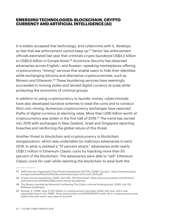#### **EMERGING TECHNOLOGIES: BLOCKCHAIN, CRYPTO** currencyandartificial intelligence (AI)

It is widely accepted that technology, and cybercrime with it, develops so fast that law enforcement cannot keep up.<sup>47</sup> Senior law enforcement officials estimated last year that criminals crypto-laundered US\$4.2 billion to US\$5.6 billion in Europe alone.<sup>48</sup> Accenture Security has observed adversaries across English—and Russian—speaking marketplaces offering cryptocurrency "mixing" services that enable users to hide their identities while exchanging bitcoins and alternative cryptocurrencies, such as Monero and Ethereum.<sup>49</sup> These laundering services have seemingly succeeded in moving stolen and tainted digital currency at scale while protecting the anonymity of criminal groups.

In addition to using cryptocurrency to launder money, cybercriminals have also developed lucrative schemes to steal the coins and to conduct illicit coin mining. Numerous cryptocurrency exchanges have reported thefts of digital currency at alarming rates. More than US\$1 billion worth of cryptocurrency was stolen in the first half of 2018.<sup>50</sup> The trend has carried into 2019 with exchanges in New Zealand, Israel and Singapore reporting breaches and reinforcing the global nature of this threat.

Another threat to blockchain and cryptocurrency is blockchain reorganization, which was undertaken by malicious adversaries in early 2019. In what is dubbed a "51 percent attack," adversaries stole nearly US\$1.1 million in Ethereum Classic coins by hijacking more than 50 percent of the blockchain. The adversaries were able to "sell" Ethereum Classic coins for cash while rewriting the blockchain to steal both the

<sup>47 2015</sup> Internet Organised Crime Threat Assessment (IOCTA). (2016). Europol. https://www.europol. europa.eu/sites/default/files/documents/europol\_iocta\_web\_2015.pdf

<sup>48</sup> Crypto money-laundering. (2018, April 26). *The Economist*. https://www.economist.com/financeand-economics/2018/04/26/crypto-money-laundering

<sup>49</sup> The Money Laundering Networks Facilitating The Cyber-criminal Underground. (2018, July 13). iDefense IntelGraph.

<sup>50</sup> Rooney, K. (2018, June 7). \$1.1 billion in cryptocurrency has been stolen this year, and it was apparently easy to do. CNBC. https://www.cnbc.com/2018/06/07/1-point-1b-in-cryptocurrency-wasstolen-this-year-and-it-was-easy-to-do.html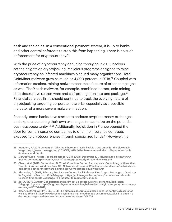cash and the coins. In a conventional payment system, it is up to banks and other central enforcers to stop this from happening. There is no such enforcement for cryptocurrency.<sup>51</sup>

With the price of cryptocurrency declining throughout 2018, hackers set their sights on cryptojacking. Malicious programs designed to mine cryptocurrency on infected machines plagued many organizations. Total CoinMiner malware grew as much as 4,000 percent in 2018.52 Coupled with information stealers, mining malware became a feature of other campaigns as well. The Xbash malware, for example, combined botnet, coin mining, data-destructive ransomware and self-propagation into one package.<sup>53</sup> Financial services firms should continue to track the evolving nature of cryptojacking targeting corporate networks, especially as a possible indicator of a more severe malware infection.

Recently, some banks have started to endorse cryptocurrency exchanges and explore launching their own exchanges to capitalize on the potential business opportunity.54, 55 Additionally, legislation in France opened the door for some insurance companies to offer life insurance contracts exposed to cryptocurrencies through specialized funds.<sup>56</sup> However, if a

<sup>51</sup> Brandom, R. (2019, January 9). Why the Ethereum Classic hack is a bad omen for the blockchain. Verge. https://www.theverge.com/2019/1/9/18174407/ethereum-classic-hack-51-percent-attackdouble-spend-crypto

<sup>52</sup> McAfee® Labs Threats Report, December 2018. (2018, December 19). McAfee Labs. https://www. mcafee.com/enterprise/en-us/assets/reports/rp-quarterly-threats-dec-2018.pdf

<sup>53</sup> Claud, et al. (2018, September 17). Xbash Combines Botnet, Ransomware, Coinmining in Worm that Targets Linux and Windows. Palo Alto Networks. https://unit42.paloaltonetworks.com/unit42-xbashcombines-botnet-ransomware-coinmining-worm-targets-linux-windows/

<sup>54</sup> Alexandre, A. (2019, February 26). Bahrain Central Bank Releases First Crypto Exchange to Graduate Its Regulatory Sandbox. CoinTelegraph. https://cointelegraph.com/news/bahrain-central-bankreleases-first-crypto-exchange-to-graduate-its-regulatory-sandbox

<sup>55</sup> BelTA. (2019, January 28). Belarusbank might set up cryptocurrency exchange. Belarusian Telegraph Agency. https://eng.belta.by/economics/view/belarusbank-might-set-up-cryptocurrencyexchange-118236-2019/

<sup>56</sup> Bloch, R. (2019, April 11). EXCLUSIF : Le bitcoin a désormais sa place dans les contrats d'assurancevie. *Les Echos*. https://www.lesechos.fr/finance-marches/banque-assurances/exclusif-le-bitcoin-adesormais-sa-place-dans-les-contrats-dassurance-vie-1008678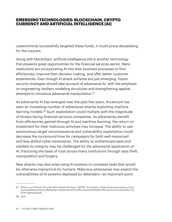#### **EMERGING TECHNOLOGIES: BLOCKCHAIN, CRYPTO** currencyandartificial intelligence (AI)

cybercriminal successfully targeted these funds, it could prove devastating for the insurers.

Along with blockchain, artificial intelligence (AI) is another technology that presents great opportunities for the financial services sector. Many institutions are incorporating AI into their business processes to find efficiencies, improve their decision making, and offer better customer experiences. Even though AI attack surfaces are just emerging, future security strategies should take account of adversarial AI, with the emphasis on engineering resilient modeling structures and strengthening against attempts to introduce adversarial manipulation.<sup>57</sup>

As adversarial AI has emerged over the past five years, Accenture has seen an increasing number of adversarial attacks exploiting machine learning models.58 Such exploitation could multiply with the magnitude of threats facing financial services companies. As adversaries benefit from efficiencies gained through AI and machine learning, the return on investment for their malicious activities may increase. The ability to use autonomous target reconnaissance and vulnerability exploitation could decrease the turnaround time for campaigns for both well-resourced and less-skilled cyber adversaries. The ability to authenticate data and validate its integrity may be challenged by the adversarial application of AI, fracturing the basis of trust across many institutions through data theft, manipulation and forgery.

New attacks may also arise using AI systems to complete tasks that would be otherwise impractical for humans. Malicious adversaries may exploit the vulnerabilities of AI systems deployed by defenders—an important point

<sup>57</sup> Know your Threat: AI is the New Attack Surface. (2019). Accenture. https://www.accenture.com/ acnmedia/Accenture/Redesign-Assets/DotCom/Documents/Global/1/Accenture-Trustworthy-AI-POV-Updated.pdf

<sup>58</sup> Ibid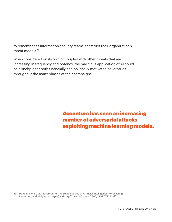to remember as information security teams construct their organization's threat models.<sup>59</sup>

When considered on its own or coupled with other threats that are increasing in frequency and potency, the malicious application of AI could be a linchpin for both financially and politically motivated adversaries throughout the many phases of their campaigns.

> Accenture has seen an increasing number of adversarial attacks exploiting machine learning models.

<sup>59</sup> Brundage, et al. (2018, February). The Malicious Use of Artificial Intelligence: Forecasting, Prevention, and Mitigation. https://arxiv.org/ftp/arxiv/papers/1802/1802.07228.pdf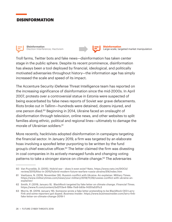# DISINFORMATION



**Disinformation** Election Interference; Hactivism



**Disinformation** Large-scale, targeted market manipulation

Troll farms, Twitter bots and fake news—disinformation has taken center stage in the public sphere. Despite its recent prominence, disinformation has always been a tool deployed by financial, ideological, and politically motivated adversaries throughout history—the information age has simply increased the scale and speed of its impact.

The Accenture Security iDefense Threat Intelligence team has reported on the increasing significance of disinformation since the mid-2000s. In April 2007, protests over a controversial statue in Estonia were suspected of being exacerbated by false news reports of Soviet war grave defacements. Riots broke out in Tallinn—hundreds were detained, dozens injured, and one person died.<sup>60</sup> Beginning in 2014, Ukraine faced an onslaught of disinformation through television, online news, and other websites to split families along ethnic, political and regional lines—ultimately to damage the morale of Ukrainian soldiers.<sup>61</sup>

More recently, hacktivists adopted disinformation in campaigns targeting the financial sector. In January 2019, a firm was targeted by an elaborate hoax involving a spoofed letter purporting to be written by the fund group's chief executive officer.<sup>62</sup> The letter claimed the firm was divesting in coal companies in its actively-managed funds and changing voting patterns to take a stronger stance on climate change.<sup>63</sup> The adversaries

<sup>60</sup> Van Puyvelde, D. (2015). Hybrid war – does it even exist? Nato. https://www.nato.int/DOCU/ review/2015/Also-in-2015/hybrid-modern-future-warfare-russia-ukraine/EN/index.htm

<sup>61</sup> Vasilyeva, N. (2018, November 26). Russia's conflict with Ukraine: An explainer. Military Times. https://www.militarytimes.com/news/your-military/2018/11/26/russias-conflict-with-ukraine-anexplainer/

<sup>62</sup> Smith, P. (2019, January 9). BlackRock targeted by fake letter on climate change. *Financial Times*. https://www.ft.com/content/bd2113e4-198e-11e9-b93e-f4351a53f1c3

<sup>63</sup> Morris, M. (2019, January 19). Someone wrote a fake letter pretending to be BlackRock CEO Larry Fink and some reporters got duped. *Business Insider*. https://www.businessinsider.com/larry-finkfake-letter-on-climate-change-2019-1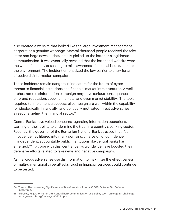also created a website that looked like the large investment management corporation's genuine webpage. Several thousand people received the fake letter and large news outlets initially picked up the letter as a legitimate communication. It was eventually revealed that the letter and website were the work of an activist seeking to raise awareness for social issues, such as the environment. The incident emphasized the low barrier to entry for an effective disinformation campaign.

These incidents remain dangerous indicators for the future of cyber threats to financial institutions and financial market infrastructures. A wellorchestrated disinformation campaign may have serious consequences on brand reputation, specific markets, and even market stability. The tools required to implement a successful campaign are well within the capability for ideologically, financially, and politically motivated threat adversaries already targeting the financial sector.<sup>64</sup>

Central Banks have voiced concerns regarding information operations, warning of their ability to undermine the trust in a country's banking sector. Recently, the governor of the Romanian National Bank stressed that: "as impatience has filtered into many domains, an erosion of confidence in independent, accountable public institutions like central banks has emerged."65 To cope with this, central banks worldwide have boosted their defensive efforts related to fake news and negative campaigns.

As malicious adversaries use disinformation to maximize the effectiveness of multi-dimensional cyberattacks, trust in financial services could continue to be tested.

<sup>64</sup> Trends: The Increasing Significance of Disinformation Efforts. (2008, October 5). iDefense IntelGraph.

<sup>65</sup> Isărescu, M. (2019, March 25). Central bank communication as a policy tool – an ongoing challenge. https://www.bis.org/review/r190327d.pdf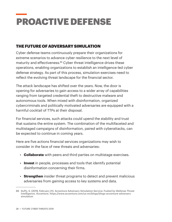# PROACTIVE DEFENSE

# THE FUTURE OF ADVERSARY SIMULATION

Cyber defense teams continuously prepare their organizations for extreme scenarios to advance cyber resilience to the next level of maturity and effectiveness.<sup>66</sup> Cyber threat intelligence drives these operations, enabling organizations to establish an intelligence-led cyber defense strategy. As part of this process, simulation exercises need to reflect the evolving threat landscape for the financial sector.

The attack landscape has shifted over the years. Now, the door is opening for adversaries to gain access to a wider array of capabilities ranging from targeted credential theft to destructive malware and autonomous tools. When mixed with disinformation, organized cybercriminals and politically motivated adversaries are equipped with a harmful cocktail of TTPs at their disposal.

For financial services, such attacks could upend the stability and trust that sustains the entire system. The combination of the multifaceted and multistaged campaigns of disinformation, paired with cyberattacks, can be expected to continue in coming years.

Here are five actions financial services organizations may wish to consider in the face of new threats and adversaries:

- **Collaborate** with peers and third parties on multistage exercises.
- **Invest** in people, processes and tools that identify potential disinformation concerning their firms.
- **Strengthen** insider threat programs to detect and prevent malicious adversaries from gaining access to key systems and data.

<sup>66</sup> Duffy, S. (2019, February 21). Accenture Adversary Simulation Service: Fueled by iDefense Threat Intelligence. Accenture. https://www.accenture.com/us-en/blogs/blogs-accenture-adversarysimulation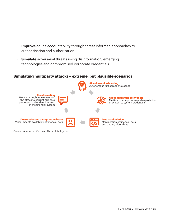- **Improve** online accountability through threat informed approaches to authentication and authorization.
- **Simulate** adversarial threats using disinformation, emerging technologies and compromised corporate credentials.

#### **Simulating multiparty attacks – extreme, but plausible scenarios**



Source: Accenture iDefense Threat Intelligence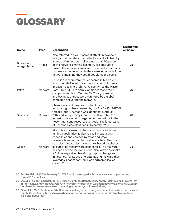

| <b>Name</b>                  | <b>Type</b> | <b>Description</b>                                                                                                                                                                                                                                                                                                                                                                                                                                                                                                                                                      | <b>Mentioned</b><br>on page: |
|------------------------------|-------------|-------------------------------------------------------------------------------------------------------------------------------------------------------------------------------------------------------------------------------------------------------------------------------------------------------------------------------------------------------------------------------------------------------------------------------------------------------------------------------------------------------------------------------------------------------------------------|------------------------------|
| Blockchain<br>reorganization | Attack      | Also referred to as a 51 percent attack, blockchain<br>reorganization refers to an attack on a blockchain by<br>a group of miners controlling more than 50 percent<br>of the network's mining hashrate, or computing<br>power. The attackers are able to reverse transactions<br>that were completed while they were in control of the<br>network, meaning they could double-spend coins. <sup>67</sup>                                                                                                                                                                 | 22                           |
| Petya                        | Malware     | Petya is a ransomware that appeared in March 2016.<br>It was first delivered to victims via an e-mail from an<br>applicant seeking a job. Petya overwrites the Master<br>Boot Table (MBT) to deny victims access to their<br>computer and files. On June 27, 2017 government<br>and business entities were paralyzed by a global<br>campaign delivering the malware.                                                                                                                                                                                                    | 20                           |
| Shamoon                      | Malware     | Shamoon, also known as DistTrack, is a destructive<br>implant highly likely created by the BLACKSTURGEON<br>threat group. Shamoon was identified in August<br>2012 and was publicly identified in November 2016<br>as part of a campaign targeting organizations in the<br>government and resources verticals. The latest wave<br>of Shamoon was identified in December 2018.                                                                                                                                                                                           | 20                           |
| Xbash                        | Malware     | Xbash is a malware that has ransomware and coin<br>mining capabilities. It also has self-propagating<br>capabilities and spreads by attacking weak<br>passwords and unpatched vulnerabilities. Xbash is<br>data-destructive; destroying Linux-based databases<br>as part of its ransomware capabilities. The malware<br>has been tied to the Iron Group, also known as Rocke,<br>a Chinese-speaking hacking group that has grown<br>in notoriety for its use of cryptojacking malware that<br>leverages a backdoor from HackingTeam's leaked<br>code. <sup>68, 69</sup> | 23                           |

<sup>67</sup> Frankenfield, J. (2019, February 7). 51% Attack. Investopedia. https://www.investopedia.com/ terms/1/51-attack.asp

<sup>68</sup> Claud, et al. (2018, September 17). Xbash Combines Botnet, Ransomware, Coinmining in Worm that Targets Linux and Windows. Palo Alto Networks. https://unit42.paloaltonetworks.com/unit42-xbashcombines-botnet-ransomware-coinmining-worm-targets-linux-windows/

<sup>69</sup> O'Neill, P. (2018, September 18). Chinese-speaking cybercrime group launches destructive malware family. CyberScoop. https://www.cyberscoop.com/iron-group-cybercrime-destructive-malwarepalo-alto-networks/